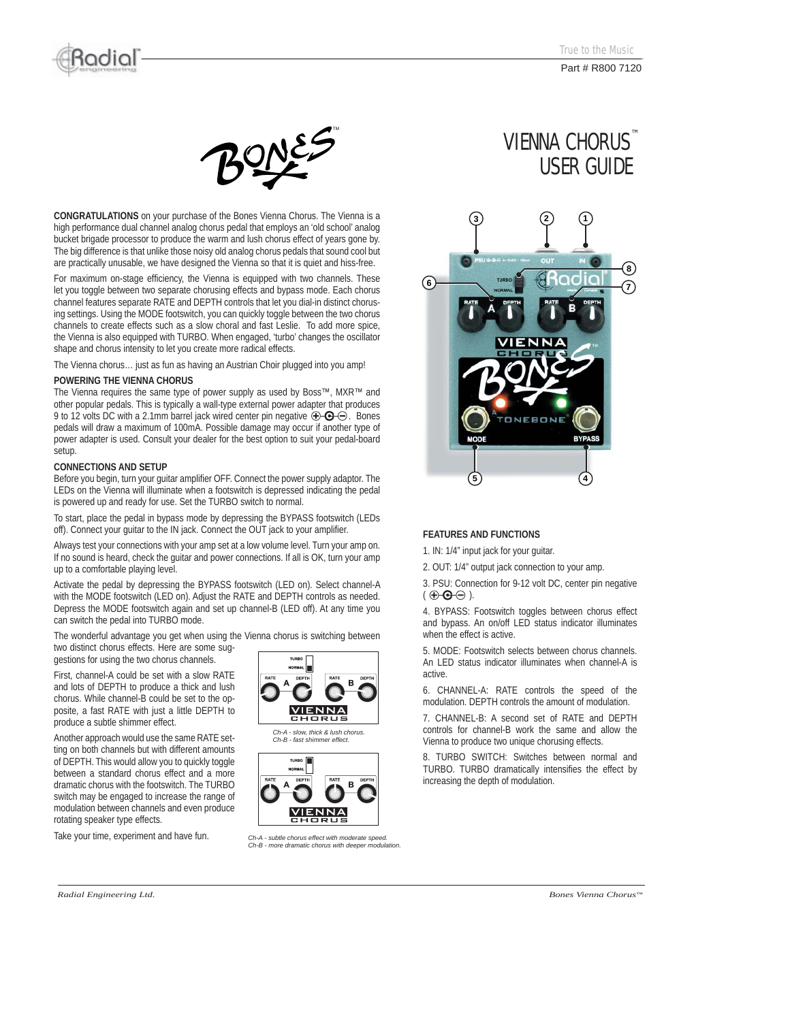

Part # R800 7120





**CONGRATULATIONS** on your purchase of the Bones Vienna Chorus. The Vienna is a high performance dual channel analog chorus pedal that employs an 'old school' analog bucket brigade processor to produce the warm and lush chorus effect of years gone by. The big difference is that unlike those noisy old analog chorus pedals that sound cool but are practically unusable, we have designed the Vienna so that it is quiet and hiss-free.

For maximum on-stage efficiency, the Vienna is equipped with two channels. These let you toggle between two separate chorusing effects and bypass mode. Each chorus channel features separate RATE and DEPTH controls that let you dial-in distinct chorusing settings. Using the MODE footswitch, you can quickly toggle between the two chorus channels to create effects such as a slow choral and fast Leslie. To add more spice, the Vienna is also equipped with TURBO. When engaged, 'turbo' changes the oscillator shape and chorus intensity to let you create more radical effects.

The Vienna chorus… just as fun as having an Austrian Choir plugged into you amp!

#### **POWERING THE VIENNA CHORUS**

The Vienna requires the same type of power supply as used by Boss™, MXR™ and other popular pedals. This is typically a wall-type external power adapter that produces 9 to 12 volts DC with a 2.1mm barrel jack wired center pin negative  $\bigoplus$   $\bigoplus$ . Bones pedals will draw a maximum of 100mA. Possible damage may occur if another type of power adapter is used. Consult your dealer for the best option to suit your pedal-board setup.

#### **CONNECTIONS AND SETUP**

Before you begin, turn your guitar amplifier OFF. Connect the power supply adaptor. The LEDs on the Vienna will illuminate when a footswitch is depressed indicating the pedal is powered up and ready for use. Set the TURBO switch to normal.

To start, place the pedal in bypass mode by depressing the BYPASS footswitch (LEDs off). Connect your guitar to the IN jack. Connect the OUT jack to your amplifier.

Always test your connections with your amp set at a low volume level. Turn your amp on. If no sound is heard, check the guitar and power connections. If all is OK, turn your amp up to a comfortable playing level.

Activate the pedal by depressing the BYPASS footswitch (LED on). Select channel-A with the MODE footswitch (LED on). Adjust the RATE and DEPTH controls as needed. Depress the MODE footswitch again and set up channel-B (LED off). At any time you can switch the pedal into TURBO mode.

The wonderful advantage you get when using the Vienna chorus is switching between two distinct chorus effects. Here are some sug-

gestions for using the two chorus channels.

First, channel-A could be set with a slow RATE and lots of DEPTH to produce a thick and lush chorus. While channel-B could be set to the opposite, a fast RATE with just a little DEPTH to produce a subtle shimmer effect.

Another approach would use the same RATE setting on both channels but with different amounts of DEPTH. This would allow you to quickly toggle between a standard chorus effect and a more dramatic chorus with the footswitch. The TURBO switch may be engaged to increase the range of modulation between channels and even produce rotating speaker type effects.

Take your time, experiment and have fun.







*Ch-A - subtle chorus effect with moderate speed. Ch-B - more dramatic chorus with deeper modulation.*

# VIENNA CHORUS<sup>™</sup> USER GUIDE



## **FEATURES AND FUNCTIONS**

1. IN: 1/4" input jack for your guitar.

2. OUT: 1/4" output jack connection to your amp.

3. PSU: Connection for 9-12 volt DC, center pin negative  $( \oplus \oplus \ominus ).$ 

4. BYPASS: Footswitch toggles between chorus effect and bypass. An on/off LED status indicator illuminates when the effect is active.

5. MODE: Footswitch selects between chorus channels. An LED status indicator illuminates when channel-A is active.

6. CHANNEL-A: RATE controls the speed of the modulation. DEPTH controls the amount of modulation.

7. CHANNEL-B: A second set of RATE and DEPTH controls for channel-B work the same and allow the Vienna to produce two unique chorusing effects.

8. TURBO SWITCH: Switches between normal and TURBO. TURBO dramatically intensifies the effect by increasing the depth of modulation.